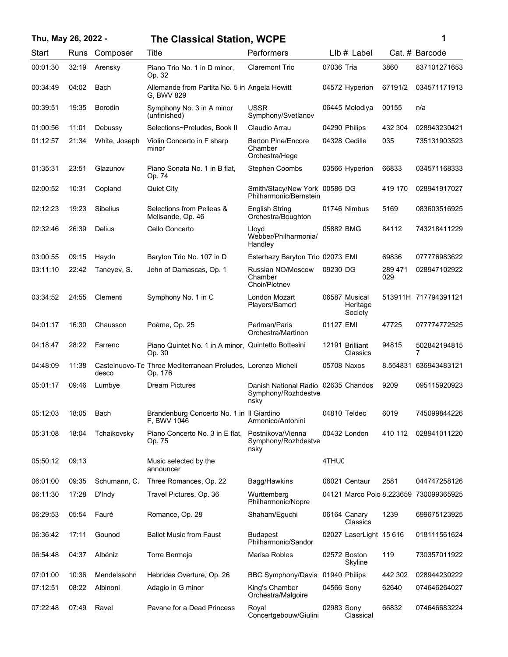| Thu, May 26, 2022 - |       |                 | <b>The Classical Station, WCPE</b>                                      |                                                                    |            |                                      |                | 1                                      |
|---------------------|-------|-----------------|-------------------------------------------------------------------------|--------------------------------------------------------------------|------------|--------------------------------------|----------------|----------------------------------------|
| Start               | Runs  | Composer        | Title                                                                   | Performers                                                         |            | $Llb#$ Label                         |                | Cat. # Barcode                         |
| 00:01:30            | 32:19 | Arensky         | Piano Trio No. 1 in D minor,<br>Op. 32                                  | <b>Claremont Trio</b>                                              | 07036 Tria |                                      | 3860           | 837101271653                           |
| 00:34:49            | 04:02 | Bach            | Allemande from Partita No. 5 in Angela Hewitt<br>G. BWV 829             |                                                                    |            | 04572 Hyperion                       | 67191/2        | 034571171913                           |
| 00:39:51            | 19:35 | <b>Borodin</b>  | Symphony No. 3 in A minor<br>(unfinished)                               | USSR<br>Symphony/Svetlanov                                         |            | 06445 Melodiya                       | 00155          | n/a                                    |
| 01:00:56            | 11:01 | Debussy         | Selections~Preludes, Book II                                            | Claudio Arrau                                                      |            | 04290 Philips                        | 432 304        | 028943230421                           |
| 01:12:57            | 21:34 | White, Joseph   | Violin Concerto in F sharp<br>minor                                     | <b>Barton Pine/Encore</b><br>Chamber<br>Orchestra/Hege             |            | 04328 Cedille                        | 035            | 735131903523                           |
| 01:35:31            | 23:51 | Glazunov        | Piano Sonata No. 1 in B flat,<br>Op. 74                                 | <b>Stephen Coombs</b>                                              |            | 03566 Hyperion                       | 66833          | 034571168333                           |
| 02:00:52            | 10:31 | Copland         | <b>Quiet City</b>                                                       | Smith/Stacy/New York 00586 DG<br>Philharmonic/Bernstein            |            |                                      | 419 170        | 028941917027                           |
| 02:12:23            | 19:23 | <b>Sibelius</b> | Selections from Pelleas &<br>Melisande, Op. 46                          | <b>English String</b><br>Orchestra/Boughton                        |            | 01746 Nimbus                         | 5169           | 083603516925                           |
| 02:32:46            | 26:39 | <b>Delius</b>   | Cello Concerto                                                          | Lloyd<br>Webber/Philharmonia/<br>Handley                           | 05882 BMG  |                                      | 84112          | 743218411229                           |
| 03:00:55            | 09:15 | Haydn           | Baryton Trio No. 107 in D                                               | Esterhazy Baryton Trio 02073 EMI                                   |            |                                      | 69836          | 077776983622                           |
| 03:11:10            | 22:42 | Taneyev, S.     | John of Damascas, Op. 1                                                 | Russian NO/Moscow<br>Chamber<br>Choir/Pletnev                      | 09230 DG   |                                      | 289 471<br>029 | 028947102922                           |
| 03:34:52            | 24:55 | Clementi        | Symphony No. 1 in C                                                     | London Mozart<br>Players/Bamert                                    |            | 06587 Musical<br>Heritage<br>Society |                | 513911H 717794391121                   |
| 04:01:17            | 16:30 | Chausson        | Poéme, Op. 25                                                           | Perlman/Paris<br>Orchestra/Martinon                                | 01127 EMI  |                                      | 47725          | 077774772525                           |
| 04:18:47            | 28:22 | Farrenc         | Piano Quintet No. 1 in A minor, Quintetto Bottesini<br>Op. 30           |                                                                    |            | 12191 Brilliant<br>Classics          | 94815          | 502842194815<br>7                      |
| 04:48:09            | 11:38 | desco           | Castelnuovo-Te Three Mediterranean Preludes, Lorenzo Micheli<br>Op. 176 |                                                                    |            | 05708 Naxos                          | 8.554831       | 636943483121                           |
| 05:01:17            | 09:46 | Lumbye          | <b>Dream Pictures</b>                                                   | Danish National Radio 02635 Chandos<br>Symphony/Rozhdestve<br>nsky |            |                                      | 9209           | 095115920923                           |
| 05:12:03            | 18:05 | Bach            | Brandenburg Concerto No. 1 in Il Giardino<br>F, BWV 1046                | Armonico/Antonini                                                  |            | 04810 Teldec                         | 6019           | 745099844226                           |
| 05:31:08            | 18:04 | Tchaikovsky     | Piano Concerto No. 3 in E flat,<br>Op. 75                               | Postnikova/Vienna<br>Symphony/Rozhdestve<br>nsky                   |            | 00432 London                         | 410 112        | 028941011220                           |
| 05:50:12            | 09:13 |                 | Music selected by the<br>announcer                                      |                                                                    | 4THUC      |                                      |                |                                        |
| 06:01:00            | 09:35 | Schumann, C.    | Three Romances, Op. 22                                                  | Bagg/Hawkins                                                       |            | 06021 Centaur                        | 2581           | 044747258126                           |
| 06:11:30            | 17:28 | D'Indy          | Travel Pictures, Op. 36                                                 | Wurttemberg<br>Philharmonic/Nopre                                  |            |                                      |                | 04121 Marco Polo 8.223659 730099365925 |
| 06:29:53            | 05:54 | Fauré           | Romance, Op. 28                                                         | Shaham/Equchi                                                      |            | 06164 Canary<br>Classics             | 1239           | 699675123925                           |
| 06:36:42            | 17:11 | Gounod          | <b>Ballet Music from Faust</b>                                          | <b>Budapest</b><br>Philharmonic/Sandor                             |            | 02027 LaserLight 15 616              |                | 018111561624                           |
| 06:54:48            | 04:37 | Albéniz         | Torre Bermeja                                                           | Marisa Robles                                                      |            | 02572 Boston<br>Skyline              | 119            | 730357011922                           |
| 07:01:00            | 10:36 | Mendelssohn     | Hebrides Overture, Op. 26                                               | <b>BBC Symphony/Davis</b>                                          |            | 01940 Philips                        | 442 302        | 028944230222                           |
| 07:12:51            | 08:22 | Albinoni        | Adagio in G minor                                                       | King's Chamber<br>Orchestra/Malgoire                               | 04566 Sony |                                      | 62640          | 074646264027                           |
| 07:22:48            | 07:49 | Ravel           | Pavane for a Dead Princess                                              | Royal<br>Concertgebouw/Giulini                                     | 02983 Sony | Classical                            | 66832          | 074646683224                           |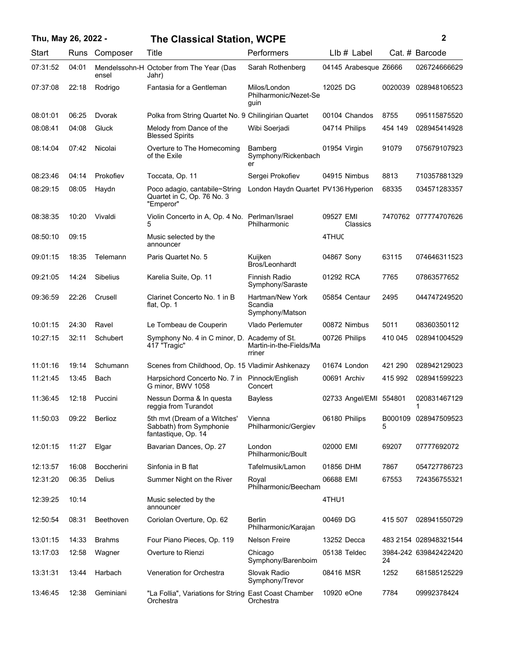| Thu, May 26, 2022 - |       |                   | <b>The Classical Station, WCPE</b>                                             |                                                | 2                      |         |                       |
|---------------------|-------|-------------------|--------------------------------------------------------------------------------|------------------------------------------------|------------------------|---------|-----------------------|
| Start               | Runs  | Composer          | Title                                                                          | Performers                                     | $Llb#$ Label           |         | Cat. # Barcode        |
| 07:31:52            | 04:01 | ensel             | Mendelssohn-H October from The Year (Das<br>Jahr)                              | Sarah Rothenberg                               | 04145 Arabesque Z6666  |         | 026724666629          |
| 07:37:08            | 22:18 | Rodrigo           | Fantasia for a Gentleman                                                       | Milos/London<br>Philharmonic/Nezet-Se<br>guin  | 12025 DG               | 0020039 | 028948106523          |
| 08:01:01            | 06:25 | Dvorak            | Polka from String Quartet No. 9 Chilingirian Quartet                           |                                                | 00104 Chandos          | 8755    | 095115875520          |
| 08:08:41            | 04:08 | Gluck             | Melody from Dance of the<br><b>Blessed Spirits</b>                             | Wibi Soerjadi                                  | 04714 Philips          | 454 149 | 028945414928          |
| 08:14:04            | 07:42 | Nicolai           | Overture to The Homecoming<br>of the Exile                                     | Bamberg<br>Symphony/Rickenbach<br>er           | 01954 Virgin           | 91079   | 075679107923          |
| 08:23:46            | 04:14 | Prokofiev         | Toccata, Op. 11                                                                | Sergei Prokofiev                               | 04915 Nimbus           | 8813    | 710357881329          |
| 08:29:15            | 08:05 | Haydn             | Poco adagio, cantabile~String<br>Quartet in C, Op. 76 No. 3<br>"Emperor"       | London Haydn Quartet PV136 Hyperion            |                        | 68335   | 034571283357          |
| 08:38:35            | 10:20 | Vivaldi           | Violin Concerto in A, Op. 4 No. Perlman/Israel<br>5                            | Philharmonic                                   | 09527 EMI<br>Classics  |         | 7470762 077774707626  |
| 08:50:10            | 09:15 |                   | Music selected by the<br>announcer                                             |                                                | 4THUC                  |         |                       |
| 09:01:15            | 18:35 | Telemann          | Paris Quartet No. 5                                                            | Kuijken<br>Bros/Leonhardt                      | 04867 Sony             | 63115   | 074646311523          |
| 09:21:05            | 14:24 | <b>Sibelius</b>   | Karelia Suite, Op. 11                                                          | Finnish Radio<br>Symphony/Saraste              | 01292 RCA              | 7765    | 07863577652           |
| 09:36:59            | 22:26 | Crusell           | Clarinet Concerto No. 1 in B<br>flat, Op. 1                                    | Hartman/New York<br>Scandia<br>Symphony/Matson | 05854 Centaur          | 2495    | 044747249520          |
| 10:01:15            | 24:30 | Ravel             | Le Tombeau de Couperin                                                         | Vlado Perlemuter                               | 00872 Nimbus           | 5011    | 08360350112           |
| 10:27:15            | 32:11 | Schubert          | Symphony No. 4 in C minor, D. Academy of St.<br>417 "Tragic"                   | Martin-in-the-Fields/Ma<br>rriner              | 00726 Philips          | 410 045 | 028941004529          |
| 11:01:16            | 19:14 | Schumann          | Scenes from Childhood, Op. 15 Vladimir Ashkenazy                               |                                                | 01674 London           | 421 290 | 028942129023          |
| 11:21:45            | 13:45 | Bach              | Harpsichord Concerto No. 7 in Pinnock/English<br>G minor, BWV 1058             | Concert                                        | 00691 Archiv           | 415 992 | 028941599223          |
| 11:36:45            | 12:18 | Puccini           | Nessun Dorma & In questa<br>reggia from Turandot                               | <b>Bayless</b>                                 | 02733 Angel/EMI 554801 |         | 020831467129<br>1     |
| 11:50:03            | 09:22 | Berlioz           | 5th mvt (Dream of a Witches'<br>Sabbath) from Symphonie<br>fantastique, Op. 14 | Vienna<br>Philharmonic/Gergiev                 | 06180 Philips          | 5       | B000109 028947509523  |
| 12:01:15            | 11:27 | Elgar             | Bavarian Dances, Op. 27                                                        | London<br>Philharmonic/Boult                   | 02000 EMI              | 69207   | 07777692072           |
| 12:13:57            | 16:08 | <b>Boccherini</b> | Sinfonia in B flat                                                             | Tafelmusik/Lamon                               | 01856 DHM              | 7867    | 054727786723          |
| 12:31:20            | 06:35 | Delius            | Summer Night on the River                                                      | Royal<br>Philharmonic/Beecham                  | 06688 EMI              | 67553   | 724356755321          |
| 12:39:25            | 10:14 |                   | Music selected by the<br>announcer                                             |                                                | 4THU1                  |         |                       |
| 12:50:54            | 08:31 | <b>Beethoven</b>  | Coriolan Overture, Op. 62                                                      | Berlin<br>Philharmonic/Karajan                 | 00469 DG               | 415 507 | 028941550729          |
| 13:01:15            | 14:33 | <b>Brahms</b>     | Four Piano Pieces, Op. 119                                                     | <b>Nelson Freire</b>                           | 13252 Decca            |         | 483 2154 028948321544 |
| 13:17:03            | 12:58 | Wagner            | Overture to Rienzi                                                             | Chicago<br>Symphony/Barenboim                  | 05138 Teldec           | 24      | 3984-242 639842422420 |
| 13:31:31            | 13:44 | Harbach           | Veneration for Orchestra                                                       | Slovak Radio<br>Symphony/Trevor                | 08416 MSR              | 1252    | 681585125229          |
| 13:46:45            | 12:38 | Geminiani         | "La Follia", Variations for String East Coast Chamber<br>Orchestra             | Orchestra                                      | 10920 eOne             | 7784    | 09992378424           |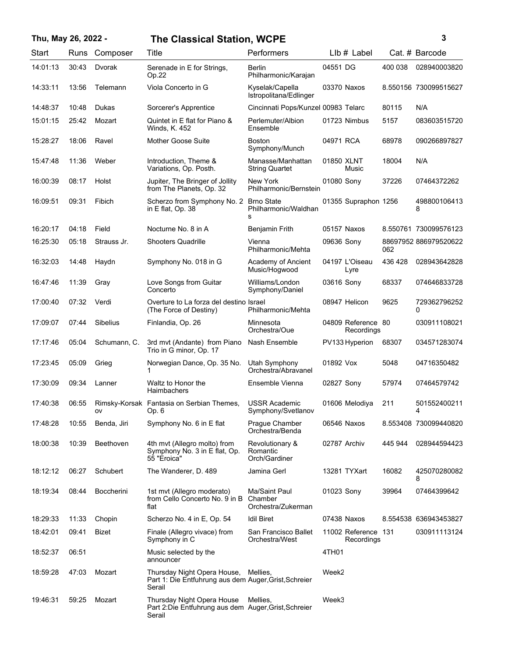## **Thu, May 26, 2022 - 3 The Classical Station, WCPE**

| ٦ |  |             |
|---|--|-------------|
|   |  |             |
|   |  |             |
|   |  | ٦<br>I<br>I |

| Start    | Runs  | Composer          | Title                                                                                                   | Performers                                     | $Llb#$ Label                      |         | Cat. # Barcode        |
|----------|-------|-------------------|---------------------------------------------------------------------------------------------------------|------------------------------------------------|-----------------------------------|---------|-----------------------|
| 14:01:13 | 30:43 | Dvorak            | Serenade in E for Strings,<br>Op.22                                                                     | <b>Berlin</b><br>Philharmonic/Karajan          | 04551 DG                          | 400 038 | 028940003820          |
| 14:33:11 | 13:56 | Telemann          | Viola Concerto in G                                                                                     | Kyselak/Capella<br>Istropolitana/Edlinger      | 03370 Naxos                       |         | 8.550156 730099515627 |
| 14:48:37 | 10:48 | Dukas             | Sorcerer's Apprentice                                                                                   | Cincinnati Pops/Kunzel 00983 Telarc            |                                   | 80115   | N/A                   |
| 15:01:15 | 25:42 | Mozart            | Quintet in E flat for Piano &<br>Winds, K. 452                                                          | Perlemuter/Albion<br>Ensemble                  | 01723 Nimbus                      | 5157    | 083603515720          |
| 15:28:27 | 18:06 | Ravel             | <b>Mother Goose Suite</b>                                                                               | <b>Boston</b><br>Symphony/Munch                | 04971 RCA                         | 68978   | 090266897827          |
| 15:47:48 | 11:36 | Weber             | Introduction, Theme &<br>Variations, Op. Posth.                                                         | Manasse/Manhattan<br><b>String Quartet</b>     | 01850 XLNT<br>Music               | 18004   | N/A                   |
| 16:00:39 | 08:17 | Holst             | Jupiter, The Bringer of Jollity<br>from The Planets, Op. 32                                             | New York<br>Philharmonic/Bernstein             | 01080 Sony                        | 37226   | 07464372262           |
| 16:09:51 | 09:31 | Fibich            | Scherzo from Symphony No. 2 Brno State<br>in E flat, Op. 38                                             | Philharmonic/Waldhan<br>s                      | 01355 Supraphon 1256              |         | 498800106413<br>8     |
| 16:20:17 | 04:18 | Field             | Nocturne No. 8 in A                                                                                     | Benjamin Frith                                 | 05157 Naxos                       |         | 8.550761 730099576123 |
| 16:25:30 | 05:18 | Strauss Jr.       | <b>Shooters Quadrille</b>                                                                               | Vienna<br>Philharmonic/Mehta                   | 09636 Sony                        | 062     | 88697952 886979520622 |
| 16:32:03 | 14:48 | Haydn             | Symphony No. 018 in G                                                                                   | Academy of Ancient<br>Music/Hogwood            | 04197 L'Oiseau<br>Lyre            | 436 428 | 028943642828          |
| 16:47:46 | 11:39 | Gray              | Love Songs from Guitar<br>Concerto                                                                      | Williams/London<br>Symphony/Daniel             | 03616 Sony                        | 68337   | 074646833728          |
| 17:00:40 | 07:32 | Verdi             | Overture to La forza del destino Israel<br>(The Force of Destiny)                                       | Philharmonic/Mehta                             | 08947 Helicon                     | 9625    | 729362796252<br>0     |
| 17:09:07 | 07:44 | <b>Sibelius</b>   | Finlandia, Op. 26                                                                                       | Minnesota<br>Orchestra/Oue                     | 04809 Reference 80<br>Recordings  |         | 030911108021          |
| 17:17:46 | 05:04 | Schumann, C.      | 3rd mvt (Andante) from Piano<br>Trio in G minor, Op. 17                                                 | Nash Ensemble                                  | PV133 Hyperion                    | 68307   | 034571283074          |
| 17:23:45 | 05:09 | Grieg             | Norwegian Dance, Op. 35 No.                                                                             | Utah Symphony<br>Orchestra/Abravanel           | 01892 Vox                         | 5048    | 04716350482           |
| 17:30:09 | 09:34 | Lanner            | Waltz to Honor the<br>Haimbachers                                                                       | Ensemble Vienna                                | 02827 Sony                        | 57974   | 07464579742           |
| 17:40:38 | 06:55 | ov                | Rimsky-Korsak Fantasia on Serbian Themes,<br>Op. 6                                                      | <b>USSR Academic</b><br>Symphony/Svetlanov     | 01606 Melodiya                    | 211     | 501552400211<br>4     |
| 17:48:28 | 10:55 | Benda, Jiri       | Symphony No. 6 in E flat                                                                                | Prague Chamber<br>Orchestra/Benda              | 06546 Naxos                       |         | 8.553408 730099440820 |
| 18:00:38 | 10:39 | Beethoven         | 4th mvt (Allegro molto) from<br>Symphony No. 3 in E flat, Op.<br>55 "Eroica"                            | Revolutionary &<br>Romantic<br>Orch/Gardiner   | 02787 Archiv                      | 445 944 | 028944594423          |
| 18:12:12 | 06:27 | Schubert          | The Wanderer, D. 489                                                                                    | Jamina Gerl                                    | 13281 TYXart                      | 16082   | 425070280082<br>8     |
| 18:19:34 | 08:44 | <b>Boccherini</b> | 1st mvt (Allegro moderato)<br>from Cello Concerto No. 9 in B<br>flat                                    | Ma/Saint Paul<br>Chamber<br>Orchestra/Zukerman | 01023 Sony                        | 39964   | 07464399642           |
| 18:29:33 | 11:33 | Chopin            | Scherzo No. 4 in E, Op. 54                                                                              | <b>Idil Biret</b>                              | 07438 Naxos                       |         | 8.554538 636943453827 |
| 18:42:01 | 09:41 | Bizet             | Finale (Allegro vivace) from<br>Symphony in C                                                           | San Francisco Ballet<br>Orchestra/West         | 11002 Reference 131<br>Recordings |         | 030911113124          |
| 18:52:37 | 06:51 |                   | Music selected by the<br>announcer                                                                      |                                                | 4TH01                             |         |                       |
| 18:59:28 | 47:03 | Mozart            | Thursday Night Opera House, Mellies,<br>Part 1: Die Entfuhrung aus dem Auger, Grist, Schreier<br>Serail |                                                | Week2                             |         |                       |
| 19:46:31 | 59:25 | Mozart            | Thursday Night Opera House<br>Part 2:Die Entfuhrung aus dem Auger, Grist, Schreier<br>Serail            | Mellies,                                       | Week3                             |         |                       |